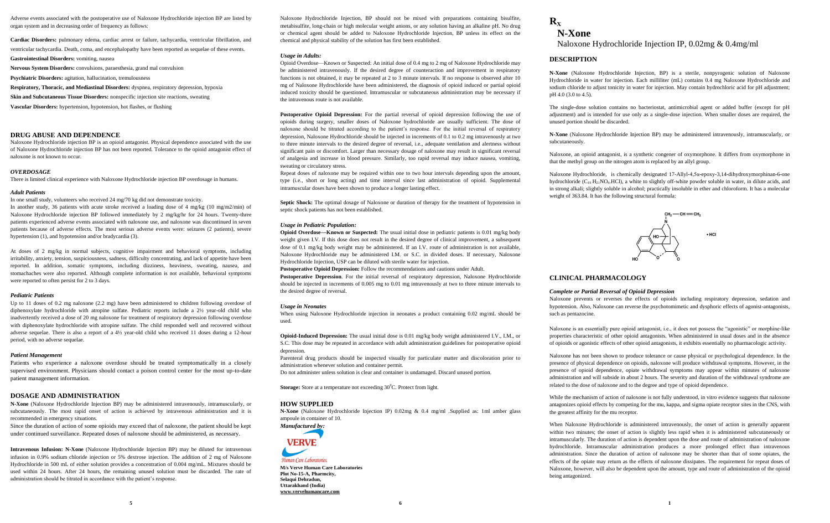Adverse events associated with the postoperative use of Naloxone Hydrochloride injection BP are listed by organ system and in decreasing order of frequency as follows:

**Cardiac Disorders:** pulmonary edema, cardiac arrest or failure, tachycardia, ventricular fibrillation, and ventricular tachycardia. Death, coma, and encephalopathy have been reported as sequelae of these events.

**Gastrointestinal Disorders:** vomiting, nausea

**Nervous System Disorders:** convulsions, paraesthesia, grand mal convulsion

**Psychiatric Disorders:** agitation, hallucination, tremulousness

**Respiratory, Thoracic, and Mediastinal Disorders:** dyspnea, respiratory depression, hypoxia

**Skin and Subcutaneous Tissue Disorders:** nonspecific injection site reactions, sweating

**Vascular Disorders:** hypertension, hypotension, hot flashes, or flushing

## **DRUG ABUSE AND DEPENDENCE**

hypertension (1), and hypotension and/or bradycardia (3).

Naloxone Hydrochloride injection BP is an opioid antagonist. Physical dependence associated with the use of Naloxone Hydrochloride injection BP has not been reported. Tolerance to the opioid antagonist effect of naloxone is not known to occur.

#### *OVERDOSAGE*

There is limited clinical experience with Naloxone Hydrochloride injection BP overdosage in humans.

#### *Adult Patients*

In one small study, volunteers who received 24 mg/70 kg did not demonstrate toxicity. In another study, 36 patients with acute stroke received a loading dose of 4 mg/kg (10 mg/m2/min) of Naloxone Hydrochloride injection BP followed immediately by 2 mg/kg/hr for 24 hours. Twenty-three patients experienced adverse events associated with naloxone use, and naloxone was discontinued in seven patients because of adverse effects. The most serious adverse events were: seizures (2 patients), severe

At doses of 2 mg/kg in normal subjects, cognitive impairment and behavioral symptoms, including irritability, anxiety, tension, suspiciousness, sadness, difficulty concentrating, and lack of appetite have been reported. In addition, somatic symptoms, including dizziness, heaviness, sweating, nausea, and stomachaches were also reported. Although complete information is not available, behavioral symptoms were reported to often persist for 2 to 3 days.

#### *Pediatric Patients*

Up to 11 doses of 0.2 mg naloxone (2.2 mg) have been administered to children following overdose of diphenoxylate hydrochloride with atropine sulfate. Pediatric reports include a 2½ year-old child who inadvertently received a dose of 20 mg naloxone for treatment of respiratory depression following overdose with diphenoxylate hydrochloride with atropine sulfate. The child responded well and recovered without adverse sequelae. There is also a report of a 4½ year-old child who received 11 doses during a 12-hour period, with no adverse sequelae.

#### *Patient Management*

Patients who experience a naloxone overdose should be treated symptomatically in a closely supervised environment. Physicians should contact a poison control center for the most up-to-date patient management information.

# **DOSAGE AND ADMINISTRATION**

**N-Xone** (Naloxone Hydrochloride Injection BP) may be administered intravenously, intramuscularly, or subcutaneously. The most rapid onset of action is achieved by intravenous administration and it is recommended in emergency situations.

Since the duration of action of some opioids may exceed that of naloxone, the patient should be kept under continued surveillance. Repeated doses of naloxone should be administered, as necessary.

**Intravenous Infusion: N-Xone** (Naloxone Hydrochloride Injection BP) may be diluted for intravenous infusion in 0.9% sodium chloride injection or 5% dextrose injection. The addition of 2 mg of Naloxone Hydrochloride in 500 mL of either solution provides a concentration of 0.004 mg/mL. Mixtures should be used within 24 hours. After 24 hours, the remaining unused solution must be discarded. The rate of administration should be titrated in accordance with the patient's response.

Naloxone Hydrochloride Injection, BP should not be mixed with preparations containing bisulfite, metabisulfite, long-chain or high molecular weight anions, or any solution having an alkaline pH. No drug or chemical agent should be added to Naloxone Hydrochloride Injection, BP unless its effect on the chemical and physical stability of the solution has first been established.

#### *Usage in Adults:*

Opioid Overdose—Known or Suspected: An initial dose of 0.4 mg to 2 mg of Naloxone Hydrochloride may be administered intravenously. If the desired degree of counteraction and improvement in respiratory functions is not obtained, it may be repeated at 2 to 3 minute intervals. If no response is observed after 10 mg of Naloxone Hydrochloride have been administered, the diagnosis of opioid induced or partial opioid induced toxicity should be questioned. Intramuscular or subcutaneous administration may be necessary if the intravenous route is not available.

Postoperative Opioid Depression: For the partial reversal of opioid depression following the use of opioids during surgery, smaller doses of Naloxone hydrochloride are usually sufficient. The dose of naloxone should be titrated according to the patient's response. For the initial reversal of respiratory depression, Naloxone Hydrochloride should be injected in increments of 0.1 to 0.2 mg intravenously at two to three minute intervals to the desired degree of reversal, i.e., adequate ventilation and alertness without significant pain or discomfort. Larger than necessary dosage of naloxone may result in significant reversal of analgesia and increase in blood pressure. Similarly, too rapid reversal may induce nausea, vomiting, sweating or circulatory stress.

Repeat doses of naloxone may be required within one to two hour intervals depending upon the amount, type (i.e., short or long acting) and time interval since last administration of opioid. Supplemental intramuscular doses have been shown to produce a longer lasting effect.

**Septic Shock:** The optimal dosage of Naloxone or duration of therapy for the treatment of hypotension in septic shock patients has not been established.

## *Usage in Pediatric Population:*

**Opioid Overdose—Known or Suspected:** The usual initial dose in pediatric patients is 0.01 mg/kg body weight given I.V. If this dose does not result in the desired degree of clinical improvement, a subsequent dose of 0.1 mg/kg body weight may be administered. If an I.V. route of administration is not available, Naloxone Hydrochloride may be administered I.M. or S.C. in divided doses. If necessary, Naloxone Hydrochloride Injection, USP can be diluted with sterile water for injection.

**Postoperative Opioid Depression:** Follow the recommendations and cautions under Adult.

**Postoperative Depression**. For the initial reversal of respiratory depression, Naloxone Hydrochloride should be injected in increments of 0.005 mg to 0.01 mg intravenously at two to three minute intervals to the desired degree of reversal.

#### *Usage in Neonates*

When using Naloxone Hydrochloride injection in neonates a product containing 0.02 mg/mL should be used.

**Opioid-Induced Depression:** The usual initial dose is 0.01 mg/kg body weight administered I.V., I.M., or S.C. This dose may be repeated in accordance with adult administration guidelines for postoperative opioid depression.

Parenteral drug products should be inspected visually for particulate matter and discoloration prior to administration whenever solution and container permit.

Do not administer unless solution is clear and container is undamaged. Discard unused portion.

**Storage:** Store at a temperature not exceeding 30°C. Protect from light

## **HOW SUPPLIED**

**N-Xone** (Naloxone Hydrochloride Injection IP) 0.02mg & 0.4 mg/ml .Supplied as: 1ml amber glass ampoule in container of 10.



Human Care Laboratories **M/s Verve Human Care Laboratories Plot No-15-A, Pharmcity, Selaqui Dehradun, Uttarakhand (India) www.vervehumancare.com**

# $R$ **x N-Xone**

Naloxone Hydrochloride Injection IP, 0.02mg & 0.4mg/ml

# **DESCRIPTION**

**N-Xone** (Naloxone Hydrochloride Injection, BP) is a sterile, nonpyrogenic solution of Naloxone Hydrochloride in water for injection. Each milliliter (mL) contains 0.4 mg Naloxone Hydrochloride and sodium chloride to adjust tonicity in water for injection. May contain hydrochloric acid for pH adjustment; pH 4.0 (3.0 to 4.5).

The single-dose solution contains no bacteriostat, antimicrobial agent or added buffer (except for pH adjustment) and is intended for use only as a single-dose injection. When smaller doses are required, the unused portion should be discarded.

**N-Xone** (Naloxone Hydrochloride Injection BP) may be administered intravenously, intramuscularly, or subcutaneously.

Naloxone, an opioid antagonist, is a synthetic congener of oxymorphone. It differs from oxymorphone in that the methyl group on the nitrogen atom is replaced by an allyl group.

Naloxone Hydrochloride, is chemically designated 17-Allyl-4,5α-epoxy-3,14-dihydroxymorphinan-6-one hydrochloride  $(C_{19} H_2)NQ_4$ HCl), a white to slightly off-white powder soluble in water, in dilute acids, and in strong alkali; slightly soluble in alcohol; practically insoluble in ether and chloroform. It has a molecular weight of 363.84. It has the following structural formula:



# **CLINICAL PHARMACOLOGY**

## *Complete or Partial Reversal of Opioid Depression*

Naloxone prevents or reverses the effects of opioids including respiratory depression, sedation and hypotension. Also, Naloxone can reverse the psychotomimetic and dysphoric effects of agonist-antagonists, such as pentazocine.

Naloxone is an essentially pure opioid antagonist, i.e., it does not possess the "agonistic" or morphine-like properties characteristic of other opioid antagonists. When administered in usual doses and in the absence of opioids or agonistic effects of other opioid antagonists, it exhibits essentially no pharmacologic activity.

Naloxone has not been shown to produce tolerance or cause physical or psychological dependence. In the presence of physical dependence on opioids, naloxone will produce withdrawal symptoms. However, in the presence of opioid dependence, opiate withdrawal symptoms may appear within minutes of naloxone administration and will subside in about 2 hours. The severity and duration of the withdrawal syndrome are related to the dose of naloxone and to the degree and type of opioid dependence.

While the mechanism of action of naloxone is not fully understood, in vitro evidence suggests that naloxone antagonizes opioid effects by competing for the mu, kappa, and sigma opiate receptor sites in the CNS, with the greatest affinity for the mu receptor.

When Naloxone Hydrochloride is administered intravenously, the onset of action is generally apparent within two minutes; the onset of action is slightly less rapid when it is administered subcutaneously or intramuscularly. The duration of action is dependent upon the dose and route of administration of naloxone hydrochloride. Intramuscular administration produces a more prolonged effect than intravenous administration. Since the duration of action of naloxone may be shorter than that of some opiates, the effects of the opiate may return as the effects of naloxone dissipates. The requirement for repeat doses of Naloxone, however, will also be dependent upon the amount, type and route of administration of the opioid being antagonized.